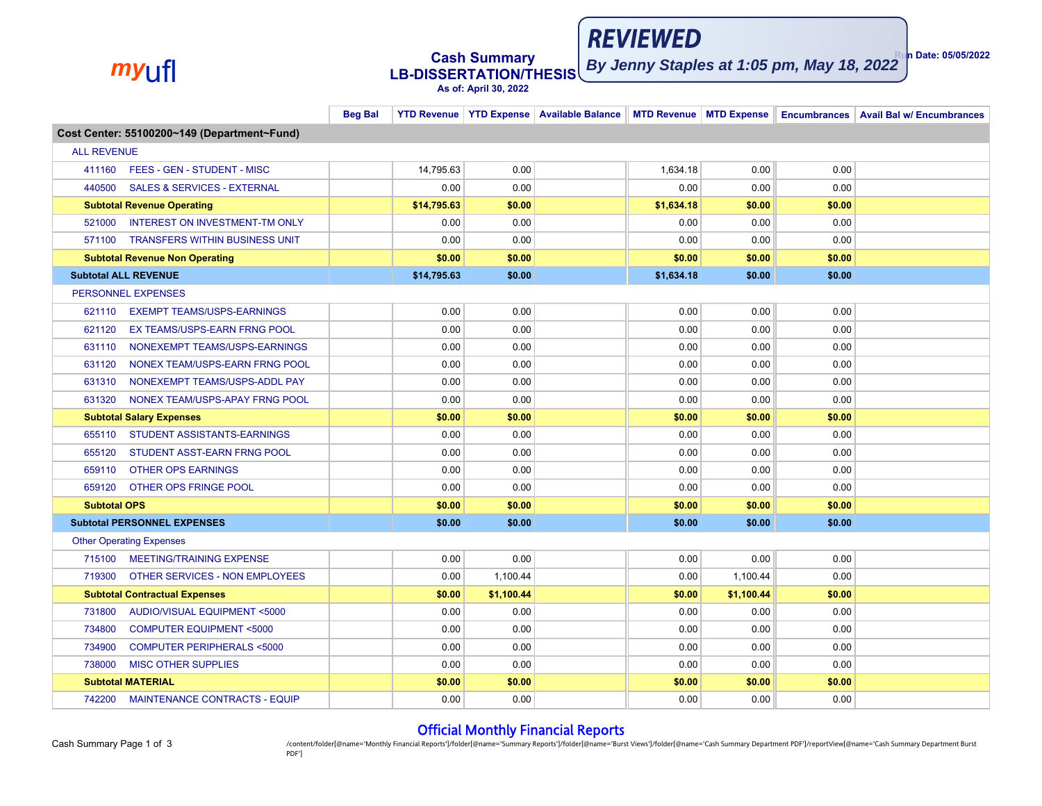# *my*ufl **Cash Summary LB-DISSERTATION/THESIS**

**Run Date: 05/05/2022 By Jenny Staples at 1:05 pm, May 18, 2022**

**REVIEWED** 

# **As of: April 30, 2022**

|                     |                                             | <b>Beg Bal</b> |             |            |  |            |            |        | YTD Revenue YTD Expense Available Balance MTD Revenue MTD Expense Encumbrances Avail Bal w/ Encumbrances |  |
|---------------------|---------------------------------------------|----------------|-------------|------------|--|------------|------------|--------|----------------------------------------------------------------------------------------------------------|--|
|                     | Cost Center: 55100200~149 (Department~Fund) |                |             |            |  |            |            |        |                                                                                                          |  |
| <b>ALL REVENUE</b>  |                                             |                |             |            |  |            |            |        |                                                                                                          |  |
|                     | 411160 FEES - GEN - STUDENT - MISC          |                | 14.795.63   | 0.00       |  | 1,634.18   | 0.00       | 0.00   |                                                                                                          |  |
| 440500              | <b>SALES &amp; SERVICES - EXTERNAL</b>      |                | 0.00        | 0.00       |  | 0.00       | 0.00       | 0.00   |                                                                                                          |  |
|                     | <b>Subtotal Revenue Operating</b>           |                | \$14,795.63 | \$0.00     |  | \$1,634.18 | \$0.00     | \$0.00 |                                                                                                          |  |
| 521000              | <b>INTEREST ON INVESTMENT-TM ONLY</b>       |                | 0.00        | 0.00       |  | 0.00       | 0.00       | 0.00   |                                                                                                          |  |
|                     | 571100 TRANSFERS WITHIN BUSINESS UNIT       |                | 0.00        | 0.00       |  | 0.00       | 0.00       | 0.00   |                                                                                                          |  |
|                     | <b>Subtotal Revenue Non Operating</b>       |                | \$0.00      | \$0.00     |  | \$0.00     | \$0.00     | \$0.00 |                                                                                                          |  |
|                     | <b>Subtotal ALL REVENUE</b>                 |                | \$14,795.63 | \$0.00     |  | \$1,634.18 | \$0.00     | \$0.00 |                                                                                                          |  |
|                     | <b>PERSONNEL EXPENSES</b>                   |                |             |            |  |            |            |        |                                                                                                          |  |
|                     | 621110 EXEMPT TEAMS/USPS-EARNINGS           |                | 0.00        | 0.00       |  | 0.00       | 0.00       | 0.00   |                                                                                                          |  |
| 621120              | EX TEAMS/USPS-EARN FRNG POOL                |                | 0.00        | 0.00       |  | 0.00       | 0.00       | 0.00   |                                                                                                          |  |
| 631110              | NONEXEMPT TEAMS/USPS-EARNINGS               |                | 0.00        | 0.00       |  | 0.00       | 0.00       | 0.00   |                                                                                                          |  |
| 631120              | NONEX TEAM/USPS-EARN FRNG POOL              |                | 0.00        | 0.00       |  | 0.00       | 0.00       | 0.00   |                                                                                                          |  |
| 631310              | NONEXEMPT TEAMS/USPS-ADDL PAY               |                | 0.00        | 0.00       |  | 0.00       | 0.00       | 0.00   |                                                                                                          |  |
| 631320              | NONEX TEAM/USPS-APAY FRNG POOL              |                | 0.00        | 0.00       |  | 0.00       | 0.00       | 0.00   |                                                                                                          |  |
|                     | <b>Subtotal Salary Expenses</b>             |                | \$0.00      | \$0.00     |  | \$0.00     | \$0.00     | \$0.00 |                                                                                                          |  |
| 655110              | STUDENT ASSISTANTS-EARNINGS                 |                | 0.00        | 0.00       |  | 0.00       | 0.00       | 0.00   |                                                                                                          |  |
| 655120              | STUDENT ASST-EARN FRNG POOL                 |                | 0.00        | 0.00       |  | 0.00       | 0.00       | 0.00   |                                                                                                          |  |
| 659110              | <b>OTHER OPS EARNINGS</b>                   |                | 0.00        | 0.00       |  | 0.00       | 0.00       | 0.00   |                                                                                                          |  |
|                     | 659120 OTHER OPS FRINGE POOL                |                | 0.00        | 0.00       |  | 0.00       | 0.00       | 0.00   |                                                                                                          |  |
| <b>Subtotal OPS</b> |                                             |                | \$0.00      | \$0.00     |  | \$0.00     | \$0.00     | \$0.00 |                                                                                                          |  |
|                     | <b>Subtotal PERSONNEL EXPENSES</b>          |                | \$0.00      | \$0.00     |  | \$0.00     | \$0.00     | \$0.00 |                                                                                                          |  |
|                     | <b>Other Operating Expenses</b>             |                |             |            |  |            |            |        |                                                                                                          |  |
|                     | 715100 MEETING/TRAINING EXPENSE             |                | 0.00        | 0.00       |  | 0.00       | 0.00       | 0.00   |                                                                                                          |  |
| 719300              | OTHER SERVICES - NON EMPLOYEES              |                | 0.00        | 1,100.44   |  | 0.00       | 1,100.44   | 0.00   |                                                                                                          |  |
|                     | <b>Subtotal Contractual Expenses</b>        |                | \$0.00      | \$1,100.44 |  | \$0.00     | \$1,100.44 | \$0.00 |                                                                                                          |  |
| 731800              | AUDIO/VISUAL EQUIPMENT <5000                |                | 0.00        | 0.00       |  | 0.00       | 0.00       | 0.00   |                                                                                                          |  |
| 734800              | <b>COMPUTER EQUIPMENT &lt;5000</b>          |                | 0.00        | 0.00       |  | 0.00       | 0.00       | 0.00   |                                                                                                          |  |
| 734900              | <b>COMPUTER PERIPHERALS &lt;5000</b>        |                | 0.00        | 0.00       |  | 0.00       | 0.00       | 0.00   |                                                                                                          |  |
| 738000              | <b>MISC OTHER SUPPLIES</b>                  |                | 0.00        | 0.00       |  | 0.00       | 0.00       | 0.00   |                                                                                                          |  |
|                     | <b>Subtotal MATERIAL</b>                    |                | \$0.00      | \$0.00     |  | \$0.00     | \$0.00     | \$0.00 |                                                                                                          |  |
|                     | 742200 MAINTENANCE CONTRACTS - EQUIP        |                | 0.00        | 0.00       |  | 0.00       | 0.00       | 0.00   |                                                                                                          |  |

#### Official Monthly Financial Reports

Content/folder[@name='Monthly Financial Reports']/folder[@name='Summary Reports']/folder[@name='Burst Views']/folder[@name='Cash Summary Department PDF']/reportView[@name='Cash Summary Department PDF']/reportView[@name='Ca PDF']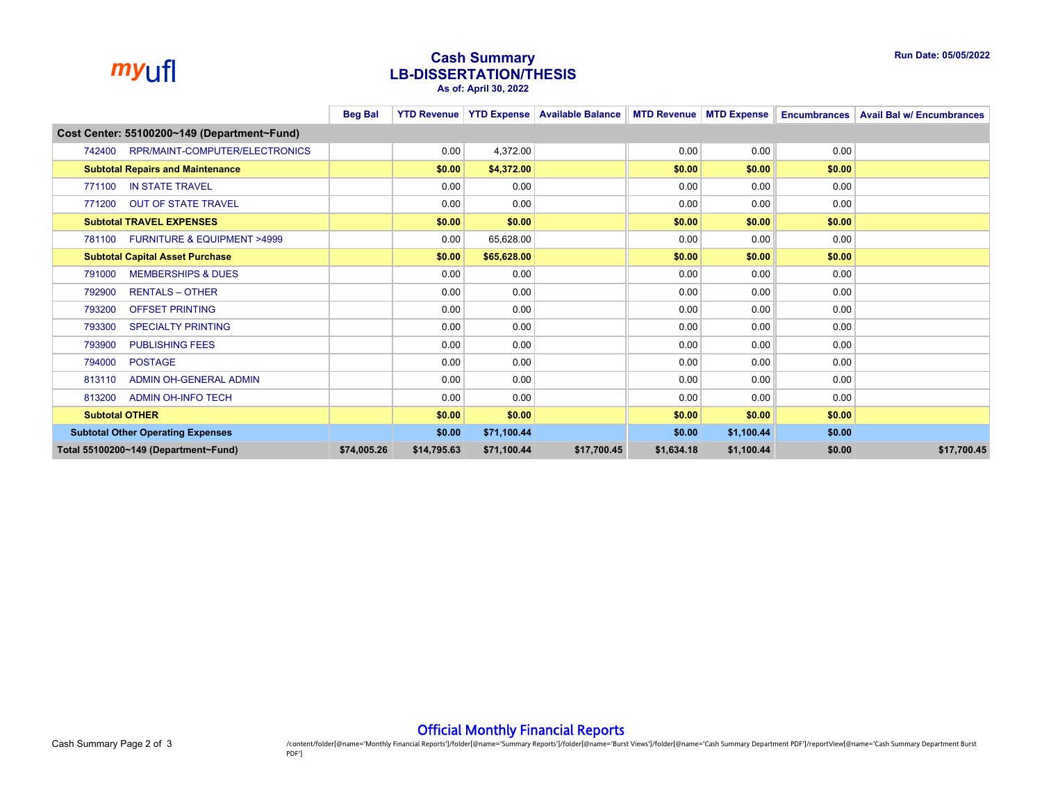

## *my*ufl **Cash Summary LB-DISSERTATION/THESIS As of: April 30, 2022**

|                                                     | <b>Beg Bal</b> |             |             |             |            |            |        | YTD Revenue   YTD Expense   Available Balance   MTD Revenue   MTD Expense   Encumbrances   Avail Bal w/ Encumbrances |
|-----------------------------------------------------|----------------|-------------|-------------|-------------|------------|------------|--------|----------------------------------------------------------------------------------------------------------------------|
| Cost Center: 55100200~149 (Department~Fund)         |                |             |             |             |            |            |        |                                                                                                                      |
| RPR/MAINT-COMPUTER/ELECTRONICS<br>742400            |                | 0.00        | 4,372.00    |             | 0.00       | 0.00       | 0.00   |                                                                                                                      |
| <b>Subtotal Repairs and Maintenance</b>             |                | \$0.00      | \$4,372.00  |             | \$0.00     | \$0.00     | \$0.00 |                                                                                                                      |
| <b>IN STATE TRAVEL</b><br>771100                    |                | 0.00        | 0.00        |             | 0.00       | 0.00       | 0.00   |                                                                                                                      |
| <b>OUT OF STATE TRAVEL</b><br>771200                |                | 0.00        | 0.00        |             | 0.00       | 0.00       | 0.00   |                                                                                                                      |
| <b>Subtotal TRAVEL EXPENSES</b>                     |                | \$0.00      | \$0.00      |             | \$0.00     | \$0.00     | \$0.00 |                                                                                                                      |
| <b>FURNITURE &amp; EQUIPMENT &gt;4999</b><br>781100 |                | 0.00        | 65,628.00   |             | 0.00       | 0.00       | 0.00   |                                                                                                                      |
| <b>Subtotal Capital Asset Purchase</b>              |                | \$0.00      | \$65,628.00 |             | \$0.00     | \$0.00     | \$0.00 |                                                                                                                      |
| 791000<br><b>MEMBERSHIPS &amp; DUES</b>             |                | 0.00        | 0.00        |             | 0.00       | 0.00       | 0.00   |                                                                                                                      |
| <b>RENTALS - OTHER</b><br>792900                    |                | 0.00        | 0.00        |             | 0.00       | 0.00       | 0.00   |                                                                                                                      |
| <b>OFFSET PRINTING</b><br>793200                    |                | 0.00        | 0.00        |             | 0.00       | 0.00       | 0.00   |                                                                                                                      |
| <b>SPECIALTY PRINTING</b><br>793300                 |                | 0.00        | 0.00        |             | 0.00       | 0.00       | 0.00   |                                                                                                                      |
| 793900<br><b>PUBLISHING FEES</b>                    |                | 0.00        | 0.00        |             | 0.00       | 0.00       | 0.00   |                                                                                                                      |
| <b>POSTAGE</b><br>794000                            |                | 0.00        | 0.00        |             | 0.00       | 0.00       | 0.00   |                                                                                                                      |
| ADMIN OH-GENERAL ADMIN<br>813110                    |                | 0.00        | 0.00        |             | 0.00       | 0.00       | 0.00   |                                                                                                                      |
| <b>ADMIN OH-INFO TECH</b><br>813200                 |                | 0.00        | 0.00        |             | 0.00       | 0.00       | 0.00   |                                                                                                                      |
| <b>Subtotal OTHER</b>                               |                | \$0.00      | \$0.00      |             | \$0.00     | \$0.00     | \$0.00 |                                                                                                                      |
| <b>Subtotal Other Operating Expenses</b>            |                | \$0.00      | \$71,100.44 |             | \$0.00     | \$1,100.44 | \$0.00 |                                                                                                                      |
| Total 55100200~149 (Department~Fund)                | \$74,005.26    | \$14,795.63 | \$71,100.44 | \$17,700.45 | \$1,634.18 | \$1,100.44 | \$0.00 | \$17,700.45                                                                                                          |

### Official Monthly Financial Reports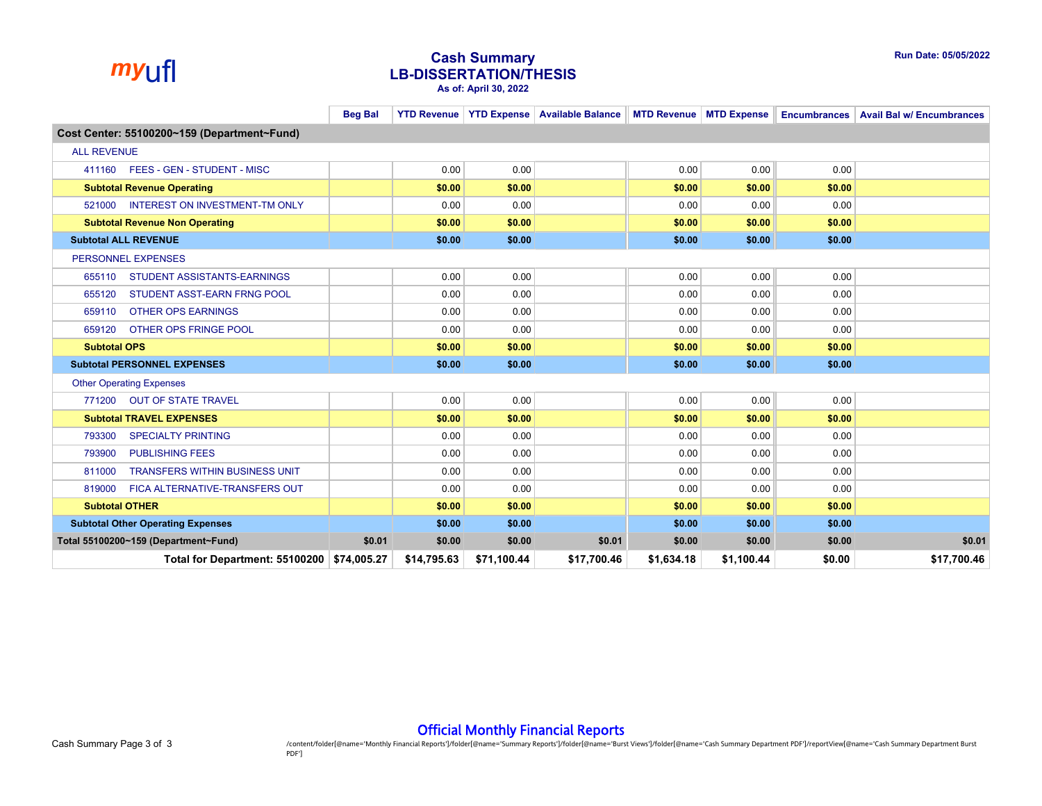

## *my*ufl **Cash Summary LB-DISSERTATION/THESIS As of: April 30, 2022**

|                                                 | <b>Beg Bal</b> |             |             |             |            |            |        | YTD Revenue YTD Expense Available Balance MTD Revenue MTD Expense Encumbrances Avail Bal w/ Encumbrances |  |
|-------------------------------------------------|----------------|-------------|-------------|-------------|------------|------------|--------|----------------------------------------------------------------------------------------------------------|--|
| Cost Center: 55100200~159 (Department~Fund)     |                |             |             |             |            |            |        |                                                                                                          |  |
| <b>ALL REVENUE</b>                              |                |             |             |             |            |            |        |                                                                                                          |  |
| 411160 FEES - GEN - STUDENT - MISC              |                | 0.00        | 0.00        |             | 0.00       | 0.00       | 0.00   |                                                                                                          |  |
| <b>Subtotal Revenue Operating</b>               |                | \$0.00      | \$0.00      |             | \$0.00     | \$0.00     | \$0.00 |                                                                                                          |  |
| <b>INTEREST ON INVESTMENT-TM ONLY</b><br>521000 |                | 0.00        | 0.00        |             | 0.00       | 0.00       | 0.00   |                                                                                                          |  |
| <b>Subtotal Revenue Non Operating</b>           |                | \$0.00      | \$0.00      |             | \$0.00     | \$0.00     | \$0.00 |                                                                                                          |  |
| <b>Subtotal ALL REVENUE</b>                     |                | \$0.00      | \$0.00      |             | \$0.00     | \$0.00     | \$0.00 |                                                                                                          |  |
| PERSONNEL EXPENSES                              |                |             |             |             |            |            |        |                                                                                                          |  |
| <b>STUDENT ASSISTANTS-EARNINGS</b><br>655110    |                | 0.00        | 0.00        |             | 0.00       | 0.00       | 0.00   |                                                                                                          |  |
| STUDENT ASST-EARN FRNG POOL<br>655120           |                | 0.00        | 0.00        |             | 0.00       | 0.00       | 0.00   |                                                                                                          |  |
| <b>OTHER OPS EARNINGS</b><br>659110             |                | 0.00        | 0.00        |             | 0.00       | 0.00       | 0.00   |                                                                                                          |  |
| 659120<br>OTHER OPS FRINGE POOL                 |                | 0.00        | 0.00        |             | 0.00       | 0.00       | 0.00   |                                                                                                          |  |
| <b>Subtotal OPS</b>                             |                | \$0.00      | \$0.00      |             | \$0.00     | \$0.00     | \$0.00 |                                                                                                          |  |
| <b>Subtotal PERSONNEL EXPENSES</b>              |                | \$0.00      | \$0.00      |             | \$0.00     | \$0.00     | \$0.00 |                                                                                                          |  |
| <b>Other Operating Expenses</b>                 |                |             |             |             |            |            |        |                                                                                                          |  |
| 771200 OUT OF STATE TRAVEL                      |                | 0.00        | 0.00        |             | 0.00       | 0.00       | 0.00   |                                                                                                          |  |
| <b>Subtotal TRAVEL EXPENSES</b>                 |                | \$0.00      | \$0.00      |             | \$0.00     | \$0.00     | \$0.00 |                                                                                                          |  |
| <b>SPECIALTY PRINTING</b><br>793300             |                | 0.00        | 0.00        |             | 0.00       | 0.00       | 0.00   |                                                                                                          |  |
| <b>PUBLISHING FEES</b><br>793900                |                | 0.00        | 0.00        |             | 0.00       | 0.00       | 0.00   |                                                                                                          |  |
| <b>TRANSFERS WITHIN BUSINESS UNIT</b><br>811000 |                | 0.00        | 0.00        |             | 0.00       | 0.00       | 0.00   |                                                                                                          |  |
| 819000<br>FICA ALTERNATIVE-TRANSFERS OUT        |                | 0.00        | 0.00        |             | 0.00       | 0.00       | 0.00   |                                                                                                          |  |
| <b>Subtotal OTHER</b>                           |                | \$0.00      | \$0.00      |             | \$0.00     | \$0.00     | \$0.00 |                                                                                                          |  |
| <b>Subtotal Other Operating Expenses</b>        |                | \$0.00      | \$0.00      |             | \$0.00     | \$0.00     | \$0.00 |                                                                                                          |  |
| Total 55100200~159 (Department~Fund)            | \$0.01         | \$0.00      | \$0.00      | \$0.01      | \$0.00     | \$0.00     | \$0.00 | \$0.01                                                                                                   |  |
| Total for Department: 55100200 \$74,005.27      |                | \$14,795.63 | \$71,100.44 | \$17,700.46 | \$1,634.18 | \$1,100.44 | \$0.00 | \$17.700.46                                                                                              |  |

### Official Monthly Financial Reports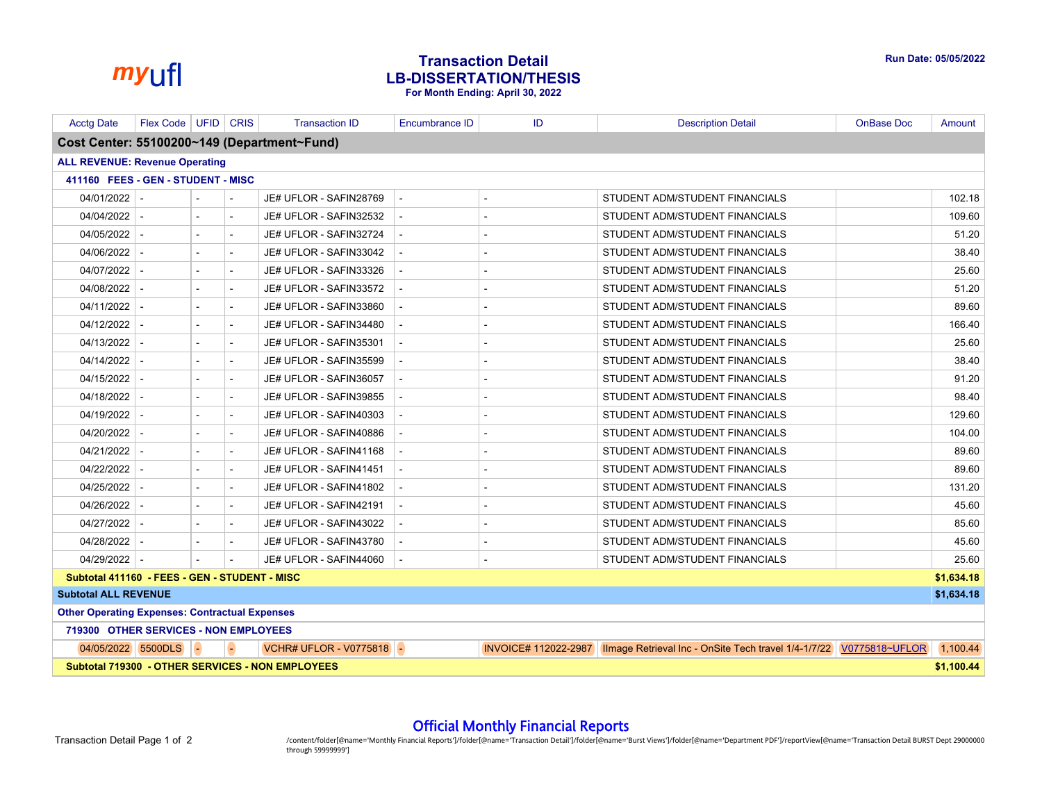

# *my*ufl **Transaction Detail LB-DISSERTATION/THESIS For Month Ending: April 30, 2022**

| <b>Acctg Date</b>                                     | Flex Code   UFID   CRIS |           | <b>Transaction ID</b>                                   | Encumbrance ID | ID | <b>Description Detail</b>                                                                    | <b>OnBase Doc</b> | Amount     |
|-------------------------------------------------------|-------------------------|-----------|---------------------------------------------------------|----------------|----|----------------------------------------------------------------------------------------------|-------------------|------------|
|                                                       |                         |           | Cost Center: 55100200~149 (Department~Fund)             |                |    |                                                                                              |                   |            |
| <b>ALL REVENUE: Revenue Operating</b>                 |                         |           |                                                         |                |    |                                                                                              |                   |            |
| 411160 FEES - GEN - STUDENT - MISC                    |                         |           |                                                         |                |    |                                                                                              |                   |            |
| $04/01/2022$ -                                        |                         |           | JE# UFLOR - SAFIN28769                                  | $\sim$         |    | STUDENT ADM/STUDENT FINANCIALS                                                               |                   | 102.18     |
| $04/04/2022$ -                                        |                         |           | JE# UFLOR - SAFIN32532                                  |                |    | STUDENT ADM/STUDENT FINANCIALS                                                               |                   | 109.60     |
| $04/05/2022$ -                                        |                         |           | JE# UFLOR - SAFIN32724                                  |                |    | STUDENT ADM/STUDENT FINANCIALS                                                               |                   | 51.20      |
| 04/06/2022                                            |                         |           | JE# UFLOR - SAFIN33042                                  |                |    | STUDENT ADM/STUDENT FINANCIALS                                                               |                   | 38.40      |
| $04/07/2022$ -                                        |                         |           | JE# UFLOR - SAFIN33326                                  |                |    | STUDENT ADM/STUDENT FINANCIALS                                                               |                   | 25.60      |
| $04/08/2022$ -                                        |                         | $\sim$    | JE# UFLOR - SAFIN33572                                  |                |    | STUDENT ADM/STUDENT FINANCIALS                                                               |                   | 51.20      |
| $04/11/2022$ -                                        |                         |           | JE# UFLOR - SAFIN33860                                  |                |    | STUDENT ADM/STUDENT FINANCIALS                                                               |                   | 89.60      |
| 04/12/2022                                            |                         |           | JE# UFLOR - SAFIN34480                                  |                |    | STUDENT ADM/STUDENT FINANCIALS                                                               |                   | 166.40     |
| $04/13/2022$ -                                        |                         |           | JE# UFLOR - SAFIN35301                                  |                |    | STUDENT ADM/STUDENT FINANCIALS                                                               |                   | 25.60      |
| $04/14/2022$ -                                        |                         |           | JE# UFLOR - SAFIN35599                                  |                |    | STUDENT ADM/STUDENT FINANCIALS                                                               |                   | 38.40      |
| $04/15/2022$ -                                        |                         | $\sim$    | JE# UFLOR - SAFIN36057                                  |                |    | STUDENT ADM/STUDENT FINANCIALS                                                               |                   | 91.20      |
| 04/18/2022                                            |                         |           | JE# UFLOR - SAFIN39855                                  |                |    | STUDENT ADM/STUDENT FINANCIALS                                                               |                   | 98.40      |
| 04/19/2022                                            |                         |           | JE# UFLOR - SAFIN40303                                  |                |    | STUDENT ADM/STUDENT FINANCIALS                                                               |                   | 129.60     |
| $04/20/2022$ -                                        |                         |           | JE# UFLOR - SAFIN40886                                  |                |    | STUDENT ADM/STUDENT FINANCIALS                                                               |                   | 104.00     |
| $04/21/2022$ -                                        |                         |           | JE# UFLOR - SAFIN41168                                  |                |    | STUDENT ADM/STUDENT FINANCIALS                                                               |                   | 89.60      |
| 04/22/2022                                            |                         |           | JE# UFLOR - SAFIN41451                                  |                |    | STUDENT ADM/STUDENT FINANCIALS                                                               |                   | 89.60      |
| $04/25/2022$ -                                        |                         |           | JE# UFLOR - SAFIN41802                                  |                |    | STUDENT ADM/STUDENT FINANCIALS                                                               |                   | 131.20     |
| 04/26/2022                                            |                         | $\sim$    | JE# UFLOR - SAFIN42191                                  | $\sim$         |    | STUDENT ADM/STUDENT FINANCIALS                                                               |                   | 45.60      |
| $04/27/2022$ -                                        |                         |           | JE# UFLOR - SAFIN43022                                  |                |    | STUDENT ADM/STUDENT FINANCIALS                                                               |                   | 85.60      |
| $04/28/2022$ -                                        |                         |           | JE# UFLOR - SAFIN43780                                  | $\sim$         |    | STUDENT ADM/STUDENT FINANCIALS                                                               |                   | 45.60      |
| $04/29/2022$ -                                        |                         |           | JE# UFLOR - SAFIN44060                                  |                |    | STUDENT ADM/STUDENT FINANCIALS                                                               |                   | 25.60      |
| Subtotal 411160 - FEES - GEN - STUDENT - MISC         |                         |           |                                                         |                |    |                                                                                              |                   | \$1,634.18 |
| <b>Subtotal ALL REVENUE</b>                           |                         |           |                                                         |                |    |                                                                                              |                   | \$1,634.18 |
| <b>Other Operating Expenses: Contractual Expenses</b> |                         |           |                                                         |                |    |                                                                                              |                   |            |
| 719300 OTHER SERVICES - NON EMPLOYEES                 |                         |           |                                                         |                |    |                                                                                              |                   |            |
|                                                       | $04/05/2022$ 5500DLS    | $\bullet$ | VCHR# UFLOR - V0775818                                  |                |    | INVOICE# 112022-2987   Ilmage Retrieval Inc - OnSite Tech travel 1/4-1/7/22   V0775818~UFLOR |                   | 1,100.44   |
|                                                       |                         |           | <b>Subtotal 719300 - OTHER SERVICES - NON EMPLOYEES</b> |                |    |                                                                                              |                   | \$1.100.44 |

#### Official Monthly Financial Reports

Transaction Detail Page 1 of 2 2 //content/folder[@name='Monthly Financial Reports']/folder[@name="Transaction Detail']/folder[@name="Burst Views']/folder[@name="Burst Views']/folder[@name="Department PDF']/reportView[@nam through 59999999']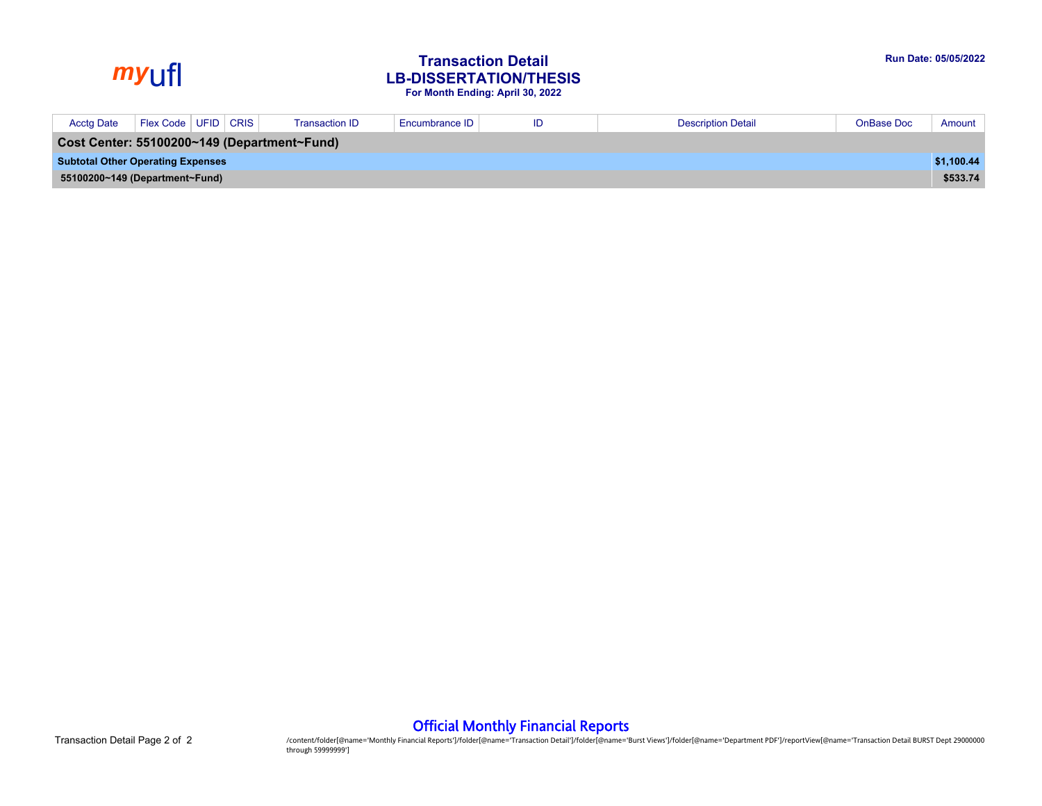# *my*ufl **Transaction Detail LB-DISSERTATION/THESIS For Month Ending: April 30, 2022**

| <b>Acctg Date</b>                           | Flex Code   UFID   CRIS |  |  | <b>Transaction ID</b> | Encumbrance ID | ID | <b>Description Detail</b> | <b>OnBase Doc</b> | Amount     |
|---------------------------------------------|-------------------------|--|--|-----------------------|----------------|----|---------------------------|-------------------|------------|
| Cost Center: 55100200~149 (Department~Fund) |                         |  |  |                       |                |    |                           |                   |            |
| <b>Subtotal Other Operating Expenses</b>    |                         |  |  |                       |                |    |                           |                   | \$1,100.44 |
| 55100200~149 (Department~Fund)              |                         |  |  |                       |                |    |                           | \$533.74          |            |

Official Monthly Financial Reports

Transaction Detail Page 2 of 2 2 /content/folder[@name='Monthly Financial Reports']/folder[@name="Transaction Detail']/folder[@name="Burst Views']/folder[@name="Burst Views']/folder[@name="Department PDF']/reportView[@name through 59999999']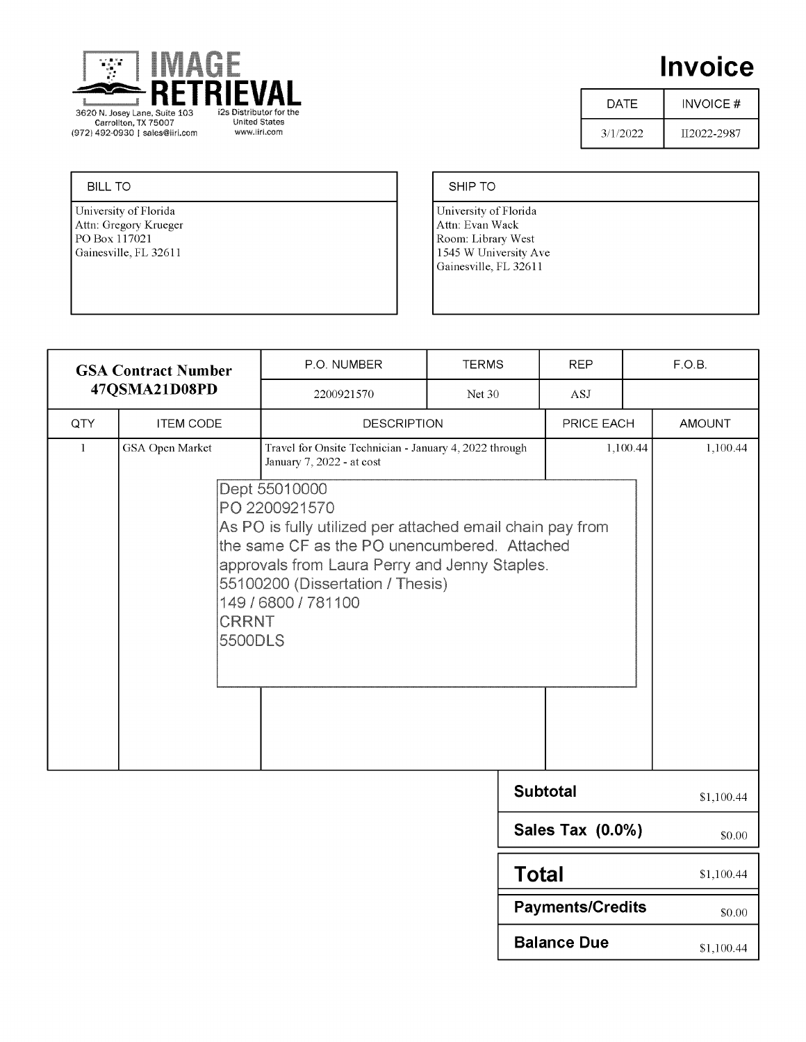

# **Invoice**

\$1,100.44

\$1,100.44

\$0.00

| DATE     | INVOICE #   |
|----------|-------------|
| 3/1/2022 | II2022-2987 |

#### **BILL TO**

University of Florida Attn: Gregory Krueger PO Box 117021 Gainesville, FL 32611

#### SHIP TO

University of Florida Attn: Evan Wack Room: Library West 1545 W University Ave Gainesville, FL 32611

**Total** 

**Payments/Credits** 

**Balance Due** 

| <b>GSA Contract Number</b><br>47QSMA21D08PD |                                            | P.O. NUMBER                                                                                                                                  | <b>TERMS</b>                                                                                                                                                                                   | <b>REP</b>              |  | F.O.B.        |  |  |  |
|---------------------------------------------|--------------------------------------------|----------------------------------------------------------------------------------------------------------------------------------------------|------------------------------------------------------------------------------------------------------------------------------------------------------------------------------------------------|-------------------------|--|---------------|--|--|--|
|                                             |                                            | 2200921570<br>Net 30                                                                                                                         |                                                                                                                                                                                                | ASJ                     |  |               |  |  |  |
| QTY                                         | <b>ITEM CODE</b>                           | <b>DESCRIPTION</b>                                                                                                                           |                                                                                                                                                                                                | PRICE EACH              |  | <b>AMOUNT</b> |  |  |  |
| 1                                           | GSA Open Market<br><b>CRRNT</b><br>5500DLS | Travel for Onsite Technician - January 4, 2022 through<br>January 7, 2022 - at cost<br>Dept 55010000<br>PO 2200921570<br>149 / 6800 / 781100 | As PO is fully utilized per attached email chain pay from<br>the same CF as the PO unencumbered. Attached<br>approvals from Laura Perry and Jenny Staples.<br>55100200 (Dissertation / Thesis) |                         |  |               |  |  |  |
|                                             |                                            |                                                                                                                                              |                                                                                                                                                                                                | <b>Subtotal</b>         |  | \$1,100.44    |  |  |  |
|                                             |                                            |                                                                                                                                              |                                                                                                                                                                                                | <b>Sales Tax (0.0%)</b> |  | \$0.00        |  |  |  |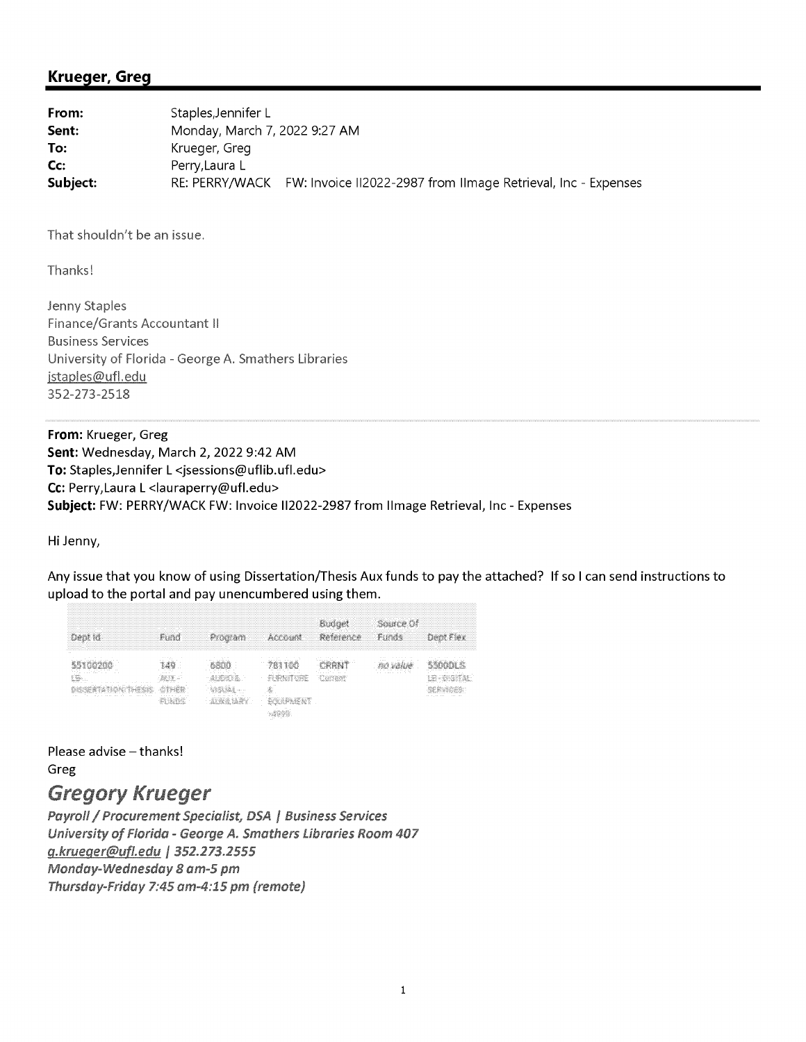### **Krueger, Greg**

| From:    | Staples, Jennifer L                                                          |
|----------|------------------------------------------------------------------------------|
| Sent:    | Monday, March 7, 2022 9:27 AM                                                |
| To:      | Krueger, Greg                                                                |
| Cc:      | Perry, Laura L                                                               |
| Subject: | RE: PERRY/WACK FW: Invoice II2022-2987 from IImage Retrieval, Inc - Expenses |

That shouldn't be an issue.

Thanks!

Jenny Staples Finance/Grants Accountant II **Business Services** University of Florida - George A. Smathers Libraries jstaples@ufl.edu 352-273-2518

From: Krueger, Greg Sent: Wednesday, March 2, 2022 9:42 AM To: Staples, Jennifer L <jsessions@uflib.ufl.edu> Cc: Perry, Laura L <lauraperry@ufl.edu> Subject: FW: PERRY/WACK FW: Invoice II2022-2987 from Ilmage Retrieval, Inc - Expenses

Hi Jenny,

Any issue that you know of using Dissertation/Thesis Aux funds to pay the attached? If so I can send instructions to upload to the portal and pay unencumbered using them.

| ,我们就要在这里的时候,我们就会在这里的时候,我们就会在这里的时候,我们就会在这里的时候,我们就会在这里的时候,我们就会在这里的时候,我们就会在这里的时候,我们<br><br>,我们就要在这里的时候,我们就会在这里的时候,我们就会在这里的时候,我们就会在这里的时候,我们就会在这里的时候,我们就会在这里的时候,我们就会在这里的时候,我们 | -------------------<br><br>                          |                                              | .<br>--------- | .<br>.<br>--------------------- | m<br><br>.<br>.<br>.<br> | .<br>.           |
|--------------------------------------------------------------------------------------------------------------------------------------------------------------------------|------------------------------------------------------|----------------------------------------------|----------------|---------------------------------|--------------------------|------------------|
| 14.4<br><br>. .<br><b>COLLEGE</b><br><br><b><i><u>ALCOHOL: 1999</u></i></b><br>$-11 - 11 - 11 - 11$<br>1.111<br>1.111                                                    | .<br><b>CONTRACTOR</b><br><b>ALC UNK</b><br>- 3<br>. | $100 - 100 = 100$<br>21, 21, 21<br>.<br>14.4 | - 11           |                                 | 1.1.11<br><br>$\sim$     | .<br>.<br>$\sim$ |

Please advise - thanks! Greg

# **Gregory Krueger**

Payroll / Procurement Specialist, DSA | Business Services University of Florida - George A. Smathers Libraries Room 407 g.krueger@ufl.edu | 352.273.2555 Monday-Wednesday 8 am-5 pm Thursday-Friday 7:45 am-4:15 pm (remote)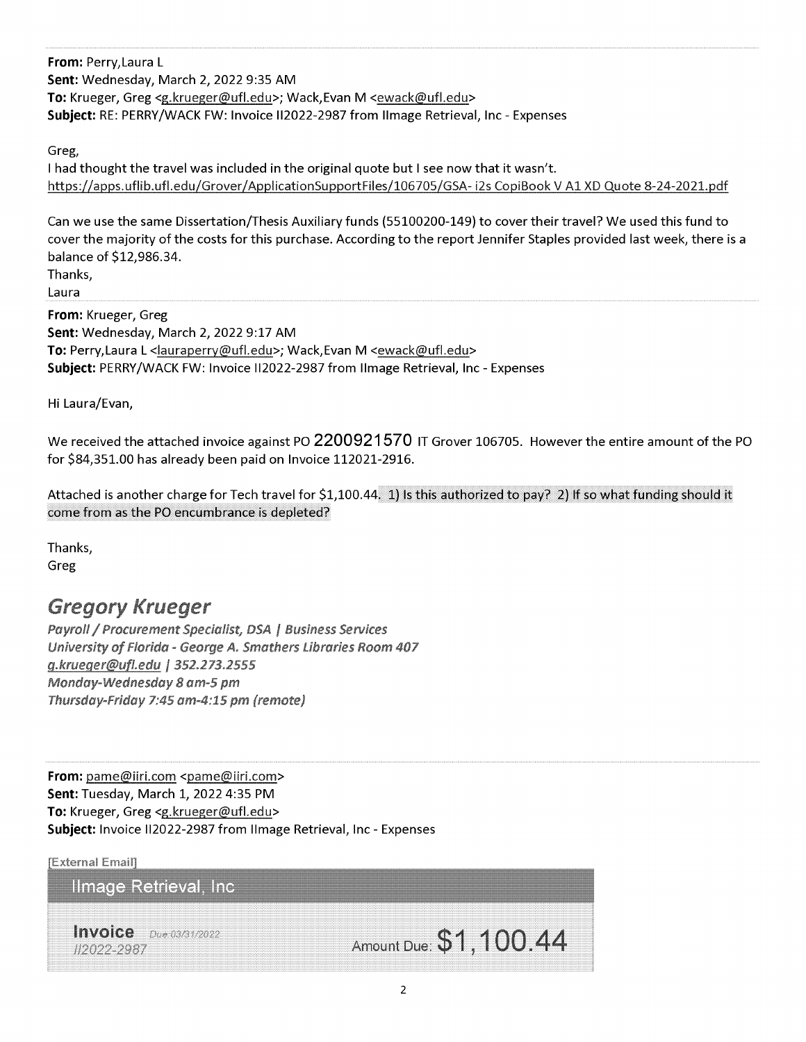From: Perry, Laura L Sent: Wednesday, March 2, 2022 9:35 AM To: Krueger, Greg <g.krueger@ufl.edu>; Wack, Evan M <ewack@ufl.edu> Subject: RE: PERRY/WACK FW: Invoice II2022-2987 from Ilmage Retrieval, Inc - Expenses

Greg,

I had thought the travel was included in the original quote but I see now that it wasn't. https://apps.uflib.ufl.edu/Grover/ApplicationSupportFiles/106705/GSA-i2s CopiBook V A1 XD Quote 8-24-2021.pdf

Can we use the same Dissertation/Thesis Auxiliary funds (55100200-149) to cover their travel? We used this fund to cover the majority of the costs for this purchase. According to the report Jennifer Staples provided last week, there is a balance of \$12,986.34.

Thanks, Laura

From: Krueger, Greg Sent: Wednesday, March 2, 2022 9:17 AM To: Perry, Laura L <lauraperry@ufl.edu>; Wack, Evan M <ewack@ufl.edu> Subject: PERRY/WACK FW: Invoice II2022-2987 from Ilmage Retrieval, Inc - Expenses

Hi Laura/Evan,

We received the attached invoice against PO 2200921570 IT Grover 106705. However the entire amount of the PO for \$84,351.00 has already been paid on Invoice 112021-2916.

Attached is another charge for Tech travel for \$1,100.44. 1) Is this authorized to pay? 2) If so what funding should it come from as the PO encumbrance is depleted?

Thanks, Greg

# **Gregory Krueger**

Payroll / Procurement Specialist, DSA | Business Services University of Florida - George A. Smathers Libraries Room 407 g.krueger@ufl.edu | 352.273.2555 Monday-Wednesday 8 am-5 pm Thursday-Friday 7:45 am-4:15 pm (remote)

From: pame@iiri.com <pame@iiri.com> Sent: Tuesday, March 1, 2022 4:35 PM To: Krueger, Greg <g.krueger@ufl.edu> Subject: Invoice II2022-2987 from Ilmage Retrieval, Inc - Expenses

**[External Email]** 

Ilmage Retrieval, Inc.

Invoice Due 03/31/2022 #2022-2987

Amount Due: \$1,100.44